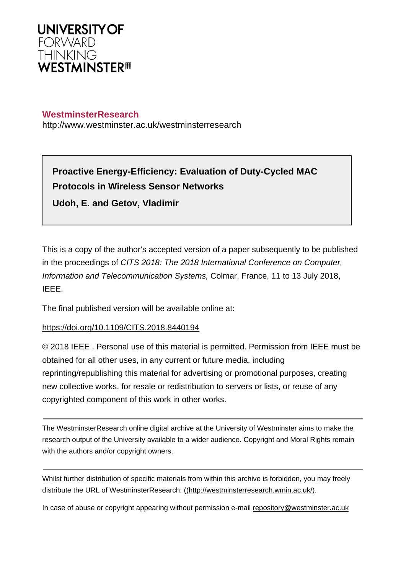

## **WestminsterResearch**

http://www.westminster.ac.uk/westminsterresearch

# **Proactive Energy-Efficiency: Evaluation of Duty-Cycled MAC Protocols in Wireless Sensor Networks**

**Udoh, E. and Getov, Vladimir**

This is a copy of the author's accepted version of a paper subsequently to be published in the proceedings of CITS 2018: The 2018 International Conference on Computer, Information and Telecommunication Systems, Colmar, France, 11 to 13 July 2018, IEEE.

The final published version will be available online at:

### <https://doi.org/10.1109/CITS.2018.8440194>

© 2018 IEEE . Personal use of this material is permitted. Permission from IEEE must be obtained for all other uses, in any current or future media, including reprinting/republishing this material for advertising or promotional purposes, creating new collective works, for resale or redistribution to servers or lists, or reuse of any copyrighted component of this work in other works.

The WestminsterResearch online digital archive at the University of Westminster aims to make the research output of the University available to a wider audience. Copyright and Moral Rights remain with the authors and/or copyright owners.

Whilst further distribution of specific materials from within this archive is forbidden, you may freely distribute the URL of WestminsterResearch: [\(\(http://westminsterresearch.wmin.ac.uk/](http://westminsterresearch.wmin.ac.uk/)).

In case of abuse or copyright appearing without permission e-mail <repository@westminster.ac.uk>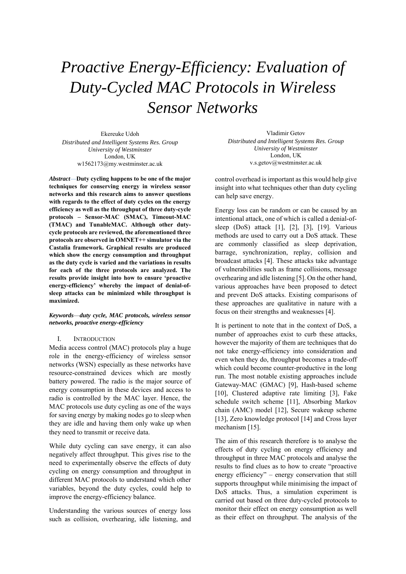# *Proactive Energy-Efficiency: Evaluation of Duty-Cycled MAC Protocols in Wireless Sensor Networks*

Ekereuke Udoh *Distributed and Intelligent Systems Res. Group University of Westminster*  London, UK w1562173@my.westminster.ac.uk

*Abstract*—**Duty cycling happens to be one of the major techniques for conserving energy in wireless sensor networks and this research aims to answer questions with regards to the effect of duty cycles on the energy efficiency as well as the throughput of three duty-cycle protocols – Sensor-MAC (SMAC), Timeout-MAC (TMAC) and TunableMAC. Although other dutycycle protocols are reviewed, the aforementioned three protocols are observed in OMNET++ simulator via the Castalia framework. Graphical results are produced which show the energy consumption and throughput as the duty cycle is varied and the variations in results for each of the three protocols are analyzed. The results provide insight into how to ensure 'proactive energy-efficiency' whereby the impact of denial-ofsleep attacks can be minimized while throughput is maximized.** 

#### *Keywords*—*duty cycle, MAC protocols, wireless sensor networks, proactive energy-efficiency*

#### I. INTRODUCTION

Media access control (MAC) protocols play a huge role in the energy-efficiency of wireless sensor networks (WSN) especially as these networks have resource-constrained devices which are mostly battery powered. The radio is the major source of energy consumption in these devices and access to radio is controlled by the MAC layer. Hence, the MAC protocols use duty cycling as one of the ways for saving energy by making nodes go to sleep when they are idle and having them only wake up when they need to transmit or receive data.

While duty cycling can save energy, it can also negatively affect throughput. This gives rise to the need to experimentally observe the effects of duty cycling on energy consumption and throughput in different MAC protocols to understand which other variables, beyond the duty cycles, could help to improve the energy-efficiency balance.

Understanding the various sources of energy loss such as collision, overhearing, idle listening, and

Vladimir Getov *Distributed and Intelligent Systems Res. Group University of Westminster* London, UK v.s.getov@westminster.ac.uk

control overhead is important as this would help give insight into what techniques other than duty cycling can help save energy.

Energy loss can be random or can be caused by an intentional attack, one of which is called a denial-ofsleep (DoS) attack [1], [2], [3], [19]. Various methods are used to carry out a DoS attack. These are commonly classified as sleep deprivation, barrage, synchronization, replay, collision and broadcast attacks [4]. These attacks take advantage of vulnerabilities such as frame collisions, message overhearing and idle listening [5]. On the other hand, various approaches have been proposed to detect and prevent DoS attacks. Existing comparisons of these approaches are qualitative in nature with a focus on their strengths and weaknesses [4].

It is pertinent to note that in the context of DoS, a number of approaches exist to curb these attacks, however the majority of them are techniques that do not take energy-efficiency into consideration and even when they do, throughput becomes a trade-off which could become counter-productive in the long run. The most notable existing approaches include Gateway-MAC (GMAC) [9], Hash-based scheme [10], Clustered adaptive rate limiting [3], Fake schedule switch scheme [11], Absorbing Markov chain (AMC) model [12], Secure wakeup scheme [13], Zero knowledge protocol [14] and Cross layer mechanism [15].

The aim of this research therefore is to analyse the effects of duty cycling on energy efficiency and throughput in three MAC protocols and analyse the results to find clues as to how to create "proactive energy efficiency" – energy conservation that still supports throughput while minimising the impact of DoS attacks. Thus, a simulation experiment is carried out based on three duty-cycled protocols to monitor their effect on energy consumption as well as their effect on throughput. The analysis of the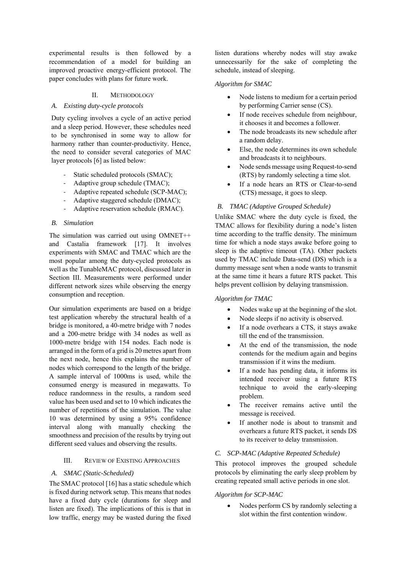experimental results is then followed by a recommendation of a model for building an improved proactive energy-efficient protocol. The paper concludes with plans for future work.

#### II. METHODOLOGY

#### *A. Existing duty-cycle protocols*

Duty cycling involves a cycle of an active period and a sleep period. However, these schedules need to be synchronised in some way to allow for harmony rather than counter-productivity. Hence, the need to consider several categories of MAC layer protocols [6] as listed below:

- Static scheduled protocols (SMAC);
- ‐ Adaptive group schedule (TMAC);
- ‐ Adaptive repeated schedule (SCP-MAC);
- ‐ Adaptive staggered schedule (DMAC);
- ‐ Adaptive reservation schedule (RMAC).

#### *B. Simulation*

The simulation was carried out using OMNET++ and Castalia framework [17]. It involves experiments with SMAC and TMAC which are the most popular among the duty-cycled protocols as well as the TunableMAC protocol, discussed later in Section III. Measurements were performed under different network sizes while observing the energy consumption and reception.

Our simulation experiments are based on a bridge test application whereby the structural health of a bridge is monitored, a 40-metre bridge with 7 nodes and a 200-metre bridge with 34 nodes as well as 1000-metre bridge with 154 nodes. Each node is arranged in the form of a grid is 20 metres apart from the next node, hence this explains the number of nodes which correspond to the length of the bridge. A sample interval of 1000ms is used, while the consumed energy is measured in megawatts. To reduce randomness in the results, a random seed value has been used and set to 10 which indicates the number of repetitions of the simulation. The value 10 was determined by using a 95% confidence interval along with manually checking the smoothness and precision of the results by trying out different seed values and observing the results.

#### III. REVIEW OF EXISTING APPROACHES

#### *A. SMAC (Static-Scheduled)*

The SMAC protocol [16] has a static schedule which is fixed during network setup. This means that nodes have a fixed duty cycle (durations for sleep and listen are fixed). The implications of this is that in low traffic, energy may be wasted during the fixed listen durations whereby nodes will stay awake unnecessarily for the sake of completing the schedule, instead of sleeping.

#### *Algorithm for SMAC*

- Node listens to medium for a certain period by performing Carrier sense (CS).
- If node receives schedule from neighbour, it chooses it and becomes a follower.
- The node broadcasts its new schedule after a random delay.
- Else, the node determines its own schedule and broadcasts it to neighbours.
- Node sends message using Request-to-send (RTS) by randomly selecting a time slot.
- If a node hears an RTS or Clear-to-send (CTS) message, it goes to sleep.

#### *B. TMAC (Adaptive Grouped Schedule)*

Unlike SMAC where the duty cycle is fixed, the TMAC allows for flexibility during a node's listen time according to the traffic density. The minimum time for which a node stays awake before going to sleep is the adaptive timeout (TA). Other packets used by TMAC include Data-send (DS) which is a dummy message sent when a node wants to transmit at the same time it hears a future RTS packet. This helps prevent collision by delaying transmission.

#### *Algorithm for TMAC*

- Nodes wake up at the beginning of the slot.
- Node sleeps if no activity is observed.
- If a node overhears a CTS, it stays awake till the end of the transmission.
- At the end of the transmission, the node contends for the medium again and begins transmission if it wins the medium.
- If a node has pending data, it informs its intended receiver using a future RTS technique to avoid the early-sleeping problem.
- The receiver remains active until the message is received.
- If another node is about to transmit and overhears a future RTS packet, it sends DS to its receiver to delay transmission.

#### *C. SCP-MAC (Adaptive Repeated Schedule)*

This protocol improves the grouped schedule protocols by eliminating the early sleep problem by creating repeated small active periods in one slot.

#### *Algorithm for SCP-MAC*

• Nodes perform CS by randomly selecting a slot within the first contention window.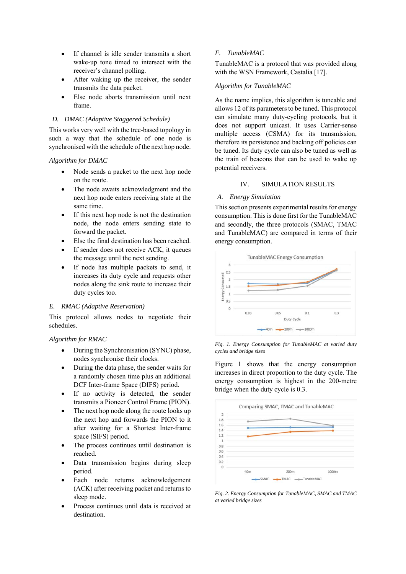- If channel is idle sender transmits a short wake-up tone timed to intersect with the receiver's channel polling.
- After waking up the receiver, the sender transmits the data packet.
- Else node aborts transmission until next frame.

#### *D. DMAC (Adaptive Staggered Schedule)*

This works very well with the tree-based topology in such a way that the schedule of one node is synchronised with the schedule of the next hop node.

#### *Algorithm for DMAC*

- Node sends a packet to the next hop node on the route.
- The node awaits acknowledgment and the next hop node enters receiving state at the same time.
- If this next hop node is not the destination node, the node enters sending state to forward the packet.
- Else the final destination has been reached.
- If sender does not receive ACK, it queues the message until the next sending.
- If node has multiple packets to send, it increases its duty cycle and requests other nodes along the sink route to increase their duty cycles too.

#### *E. RMAC (Adaptive Reservation)*

This protocol allows nodes to negotiate their schedules.

#### *Algorithm for RMAC*

- During the Synchronisation (SYNC) phase, nodes synchronise their clocks.
- During the data phase, the sender waits for a randomly chosen time plus an additional DCF Inter-frame Space (DIFS) period.
- If no activity is detected, the sender transmits a Pioneer Control Frame (PION).
- The next hop node along the route looks up the next hop and forwards the PION to it after waiting for a Shortest Inter-frame space (SIFS) period.
- The process continues until destination is reached.
- Data transmission begins during sleep period.
- Each node returns acknowledgement (ACK) after receiving packet and returns to sleep mode.
- Process continues until data is received at destination.

#### *F. TunableMAC*

TunableMAC is a protocol that was provided along with the WSN Framework, Castalia [17].

#### *Algorithm for TunableMAC*

As the name implies, this algorithm is tuneable and allows 12 of its parameters to be tuned. This protocol can simulate many duty-cycling protocols, but it does not support unicast. It uses Carrier-sense multiple access (CSMA) for its transmission, therefore its persistence and backing off policies can be tuned. Its duty cycle can also be tuned as well as the train of beacons that can be used to wake up potential receivers.

#### IV. SIMULATION RESULTS

#### *A. Energy Simulation*

This section presents experimental results for energy consumption. This is done first for the TunableMAC and secondly, the three protocols (SMAC, TMAC and TunableMAC) are compared in terms of their energy consumption.



*Fig. 1. Energy Consumption for TunableMAC at varied duty cycles and bridge sizes* 

Figure 1 shows that the energy consumption increases in direct proportion to the duty cycle. The energy consumption is highest in the 200-metre bridge when the duty cycle is 0.3.



*Fig. 2. Energy Consumption for TunableMAC, SMAC and TMAC at varied bridge sizes*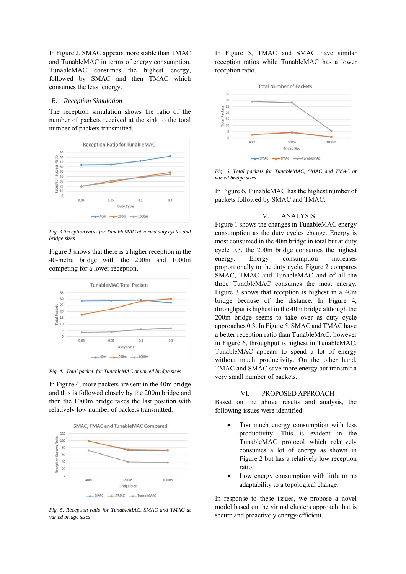In Figure 2, SMAC appears more stable than TMAC and TunableMAC in terms of energy consumption. TunableMAC consumes the highest energy, followed by SMAC and then TMAC which consumes the least energy.

#### *B. Reception Simulation*

The reception simulation shows the ratio of the number of packets received at the sink to the total number of packets transmitted.



*Fig. 3 Reception ratio for TunableMAC at varied duty cycles and bridge sizes* 

Figure 3 shows that there is a higher reception in the 40-metre bridge with the 200m and 1000m competing for a lower reception.



*Fig. 4. Total packet for TunableMAC at varied bridge sizes* 

In Figure 4, more packets are sent in the 40m bridge and this is followed closely by the 200m bridge and then the 1000m bridge takes the last position with relatively low number of packets transmitted.



*Fig. 5. Reception ratio for TunableMAC, SMAC and TMAC at varied bridge sizes* 

In Figure 5, TMAC and SMAC have similar reception ratios while TunableMAC has a lower reception ratio.



*Fig. 6. Total packets for TunableMAC, SMAC and TMAC at varied bridge sizes* 

In Figure 6, TunableMAC has the highest number of packets followed by SMAC and TMAC.

#### V. ANALYSIS

Figure 1 shows the changes in TunableMAC energy consumption as the duty cycles change. Energy is most consumed in the 40m bridge in total but at duty cycle 0.3, the 200m bridge consumes the highest energy. Energy consumption increases proportionally to the duty cycle. Figure 2 compares SMAC, TMAC and TunableMAC and of all the three TunableMAC consumes the most energy. Figure 3 shows that reception is highest in a 40m bridge because of the distance. In Figure 4, throughput is highest in the 40m bridge although the 200m bridge seems to take over as duty cycle approaches 0.3. In Figure 5, SMAC and TMAC have a better reception ratio than TunableMAC, however in Figure 6, throughput is highest in TunableMAC. TunableMAC appears to spend a lot of energy without much productivity. On the other hand, TMAC and SMAC save more energy but transmit a very small number of packets.

#### VI. PROPOSED APPROACH

Based on the above results and analysis, the following issues were identified:

- Too much energy consumption with less productivity. This is evident in the TunableMAC protocol which relatively consumes a lot of energy as shown in Figure 2 but has a relatively low reception ratio.
- Low energy consumption with little or no adaptability to a topological change.

In response to these issues, we propose a novel model based on the virtual clusters approach that is secure and proactively energy-efficient.